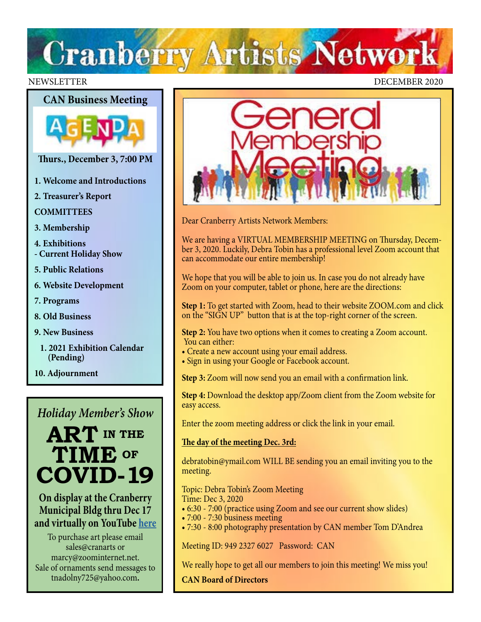# **Cranberry Artists Network**





- **Thurs., December 3, 7:00 PM**
- **1. Welcome and Introductions**
- **2. Treasurer's Report**

**COMMITTEES**

- **3. Membership**
- **4. Exhibitions - Current Holiday Show**
- **5. Public Relations**
- **6. Website Development**
- **7. Programs**
- **8. Old Business**
- **9. New Business**
	- **1. 2021 Exhibition Calendar (Pending)**
- **10. Adjournment**

### *Holiday Member's Show*



**On display at the Cranberry Municipal Bldg thru Dec 17 and virtually on YouTube [here](https://www.youtube.com/watch?v=wvZCb4CfSaA&feature=youtu.be&fbclid=IwAR0xBzMJ1MkbnWQLy6fFhgTvkgbsetDbKqGwDzx2Qd-CeCMo5WMm2Jv7JHo)**

To purchase art please email sales@cranarts or marcy@zoominternet.net. Sale of ornaments send messages to tnadolny725@yahoo.com**.**



Dear Cranberry Artists Network Members:

We are having a VIRTUAL MEMBERSHIP MEETING on Thursday, December 3, 2020. Luckily, Debra Tobin has a professional level Zoom account that can accommodate our entire membership!

We hope that you will be able to join us. In case you do not already have Zoom on your computer, tablet or phone, here are the directions:

**Step 1:** To get started with Zoom, head to their website ZOOM.com and click on the "SIGN UP" button that is at the top-right corner of the screen.

**Step 2:** You have two options when it comes to creating a Zoom account. You can either:

- Create a new account using your email address.
- Sign in using your Google or Facebook account.

**Step 3:** Zoom will now send you an email with a confirmation link.

**Step 4:** Download the desktop app/Zoom client from the Zoom website for easy access.

Enter the zoom meeting address or click the link in your email.

### **The day of the meeting Dec. 3rd:**

debratobin@ymail.com WILL BE sending you an email inviting you to the meeting.

Topic: Debra Tobin's Zoom Meeting

- Time: Dec 3, 2020
- 6:30 7:00 (practice using Zoom and see our current show slides)
- 7:00 7:30 business meeting
- 7:30 8:00 photography presentation by CAN member Tom D'Andrea

Meeting ID: 949 2327 6027 Password: CAN

We really hope to get all our members to join this meeting! We miss you!

**CAN Board of Directors**

### NEWSLETTER DECEMBER 2020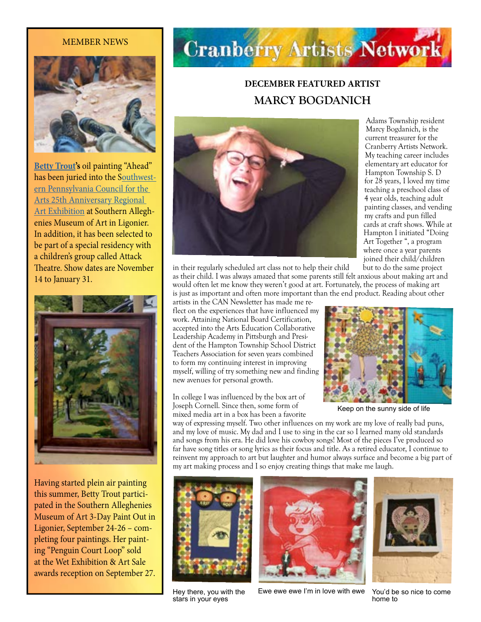#### MEMBER NEWS



**[Betty Trout](https://www.bettytrout.com/)'s** oil painting "Ahead" has been juried into the [Southwest](https://www.spcarts.org/spc/?page_id=1564)[ern Pennsylvania Council for the](https://www.spcarts.org/spc/?page_id=1564)  [Arts 25th Anniversary Regional](https://www.spcarts.org/spc/?page_id=1564)  [Art Exhibition](https://www.spcarts.org/spc/?page_id=1564) at Southern Alleghenies Museum of Art in Ligonier. In addition, it has been selected to be part of a special residency with a children's group called Attack Theatre. Show dates are November 14 to January 31.



Having started plein air painting this summer, Betty Trout participated in the Southern Alleghenies Museum of Art 3-Day Paint Out in Ligonier, September 24-26 – completing four paintings. Her painting "Penguin Court Loop" sold at the Wet Exhibition & Art Sale awards reception on September 27.

# **Cranberry Artists Network**

# **DECEMBER FEATURED ARTIST MARCY BOGDANICH**



Adams Township resident Marcy Bogdanich, is the current treasurer for the Cranberry Artists Network. My teaching career includes elementary art educator for Hampton Township S. D for 28 years, I loved my time teaching a preschool class of 4 year olds, teaching adult painting classes, and vending my crafts and pun filled cards at craft shows. While at Hampton I initiated "Doing Art Together ", a program where once a year parents joined their child/children

in their regularly scheduled art class not to help their child but to do the same project as their child. I was always amazed that some parents still felt anxious about making art and would often let me know they weren't good at art. Fortunately, the process of making art is just as important and often more important than the end product. Reading about other

artists in the CAN Newsletter has made me reflect on the experiences that have influenced my work. Attaining National Board Certification, accepted into the Arts Education Collaborative Leadership Academy in Pittsburgh and President of the Hampton Township School District Teachers Association for seven years combined to form my continuing interest in improving myself, willing of try something new and finding new avenues for personal growth.

In college I was influenced by the box art of Joseph Cornell. Since then, some form of mixed media art in a box has been a favorite



Keep on the sunny side of life

way of expressing myself. Two other influences on my work are my love of really bad puns, and my love of music. My dad and I use to sing in the car so I learned many old standards and songs from his era. He did love his cowboy songs! Most of the pieces I've produced so far have song titles or song lyrics as their focus and title. As a retired educator, I continue to reinvent my approach to art but laughter and humor always surface and become a big part of my art making process and I so enjoy creating things that make me laugh.



Hey there, you with the stars in your eyes



Ewe ewe ewe I'm in love with ewe



You'd be so nice to come home to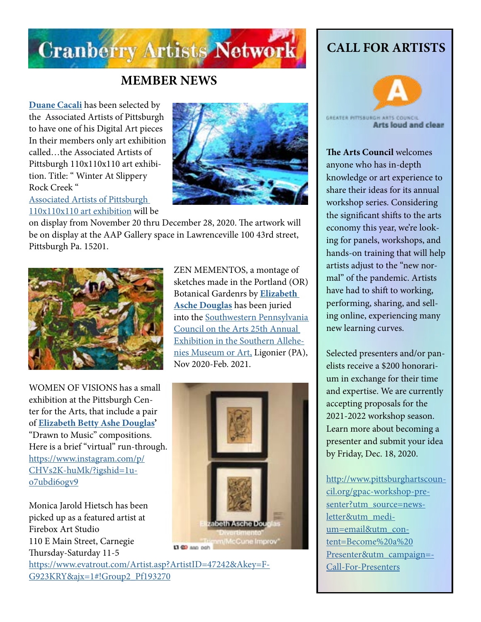

## **MEMBER NEWS**

**[Duane Cacali](http://www.dcdigitalcanvas.com/)** has been selected by the Associated Artists of Pittsburgh to have one of his Digital Art pieces In their members only art exhibition called…the Associated Artists of Pittsburgh 110x110x110 art exhibition. Title: " Winter At Slippery Rock Creek "

[Associated Artists of Pittsburgh](https://www.aapgh.org/member-store)  [110x110x110 art exhibition](https://www.aapgh.org/member-store) will be



on display from November 20 thru December 28, 2020. The artwork will be on display at the AAP Gallery space in Lawrenceville 100 43rd street, Pittsburgh Pa. 15201.



WOMEN OF VISIONS has a small exhibition at the Pittsburgh Center for the Arts, that include a pair of **[Elizabeth Betty Ashe Douglas'](http://douglasartgallery.com/)** "Drawn to Music" compositions. Here is a brief "virtual" run-through. [https://www.instagram.com/p/](https://www.instagram.com/p/CHVs2K-huMk/?igshid=1uo7ubdi6ogv9
) [CHVs2K-huMk/?igshid=1u](https://www.instagram.com/p/CHVs2K-huMk/?igshid=1uo7ubdi6ogv9
)[o7ubdi6ogv9](https://www.instagram.com/p/CHVs2K-huMk/?igshid=1uo7ubdi6ogv9
)

Monica Jarold Hietsch has been picked up as a featured artist at Firebox Art Studio 110 E Main Street, Carnegie Thursday-Saturday 11-5

ZEN MEMENTOS, a montage of sketches made in the Portland (OR) Botanical Gardenrs by **[Elizabeth](http://douglasartgallery.com/)  [Asche Douglas](http://douglasartgallery.com/)** has been juried into the [Southwestern Pennsylvania](https://www.spcarts.org/spc/?page_id=1564)  [Council on the Arts 25th Annual](https://www.spcarts.org/spc/?page_id=1564)  [Exhibition in the Southern Allehe](https://www.spcarts.org/spc/?page_id=1564)[nies Museum or Art,](https://www.spcarts.org/spc/?page_id=1564) Ligonier (PA), Nov 2020-Feb. 2021.



[https://www.evatrout.com/Artist.asp?ArtistID=47242&Akey=F-](https://www.evatrout.com/Artist.asp?ArtistID=47242&Akey=FG923KRY&ajx=1#!Group2_Pf193270)[G923KRY&ajx=1#!Group2\\_Pf193270](https://www.evatrout.com/Artist.asp?ArtistID=47242&Akey=FG923KRY&ajx=1#!Group2_Pf193270)

# **CALL FOR ARTISTS**



**Arts loud and clear** 

**The Arts Council** welcomes anyone who has in-depth knowledge or art experience to share their ideas for its annual workshop series. Considering the significant shifts to the arts economy this year, we're looking for panels, workshops, and hands-on training that will help artists adjust to the "new normal" of the pandemic. Artists have had to shift to working, performing, sharing, and selling online, experiencing many new learning curves.

Selected presenters and/or panelists receive a \$200 honorarium in exchange for their time and expertise. We are currently accepting proposals for the 2021-2022 workshop season. Learn more about becoming a presenter and submit your idea by Friday, Dec. 18, 2020.

[http://www.pittsburghartscoun](http://www.pittsburghartscouncil.org/gpac-workshop-presenter?utm_source=newsletter&utm_medium=email&utm_content=Become%20a%20Presenter&utm_campaign=Call-For-Presenters)[cil.org/gpac-workshop-pre](http://www.pittsburghartscouncil.org/gpac-workshop-presenter?utm_source=newsletter&utm_medium=email&utm_content=Become%20a%20Presenter&utm_campaign=Call-For-Presenters)[senter?utm\\_source=news](http://www.pittsburghartscouncil.org/gpac-workshop-presenter?utm_source=newsletter&utm_medium=email&utm_content=Become%20a%20Presenter&utm_campaign=Call-For-Presenters)[letter&utm\\_medi](http://www.pittsburghartscouncil.org/gpac-workshop-presenter?utm_source=newsletter&utm_medium=email&utm_content=Become%20a%20Presenter&utm_campaign=Call-For-Presenters)[um=email&utm\\_con](http://www.pittsburghartscouncil.org/gpac-workshop-presenter?utm_source=newsletter&utm_medium=email&utm_content=Become%20a%20Presenter&utm_campaign=Call-For-Presenters)[tent=Become%20a%20](http://www.pittsburghartscouncil.org/gpac-workshop-presenter?utm_source=newsletter&utm_medium=email&utm_content=Become%20a%20Presenter&utm_campaign=Call-For-Presenters) [Presenter&utm\\_campaign=-](http://www.pittsburghartscouncil.org/gpac-workshop-presenter?utm_source=newsletter&utm_medium=email&utm_content=Become%20a%20Presenter&utm_campaign=Call-For-Presenters) [Call-For-Presenters](http://www.pittsburghartscouncil.org/gpac-workshop-presenter?utm_source=newsletter&utm_medium=email&utm_content=Become%20a%20Presenter&utm_campaign=Call-For-Presenters)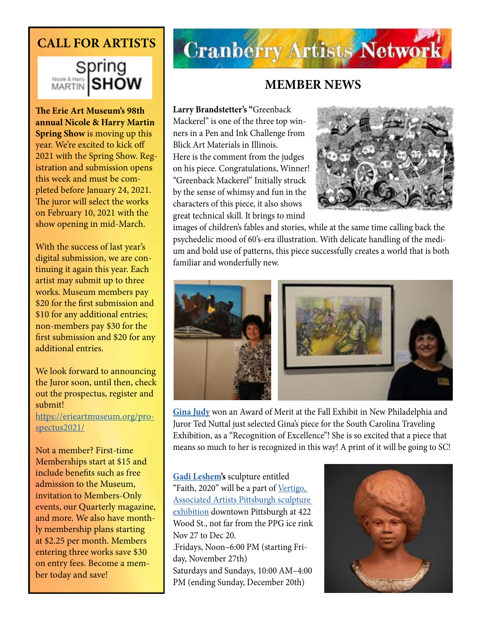# **CALL FOR ARTISTS**



**The Erie Art Museum's 98th annual Nicole & Harry Martin Spring Show** is moving up this year. We're excited to kick off 2021 with the Spring Show. Registration and submission opens this week and must be completed before January 24, 2021. The juror will select the works on February 10, 2021 with the show opening in mid-March.

With the success of last year's digital submission, we are continuing it again this year. Each artist may submit up to three works. Museum members pay \$20 for the first submission and \$10 for any additional entries; non-members pay \$30 for the first submission and \$20 for any additional entries.

We look forward to announcing the Juror soon, until then, check out the prospectus, register and submit! [https://erieartmuseum.org/pro](https://erieartmuseum.org/prospectus2021/)[spectus2021/](https://erieartmuseum.org/prospectus2021/)

Not a member? First-time Memberships start at \$15 and include benefits such as free admission to the Museum, invitation to Members-Only events, our Quarterly magazine, and more. We also have monthly membership plans starting at \$2.25 per month. Members entering three works save \$30 on entry fees. Become a member today and save!

# **Cranberry Artists Network**

### **MEMBER NEWS**

**Larry Brandstetter's "**Greenback Mackerel" is one of the three top winners in a Pen and Ink Challenge from Blick Art Materials in Illinois. Here is the comment from the judges on his piece. Congratulations, Winner! "Greenback Mackerel" Initially struck by the sense of whimsy and fun in the characters of this piece, it also shows great technical skill. It brings to mind



images of children's fables and stories, while at the same time calling back the psychedelic mood of 60's-era illustration. With delicate handling of the medium and bold use of patterns, this piece successfully creates a world that is both familiar and wonderfully new.



**[Gina Judy](http://www.ginajudyfineart.com)** won an Award of Merit at the Fall Exhibit in New Philadelphia and Juror Ted Nuttal just selected Gina's piece for the South Carolina Traveling Exhibition, as a "Recognition of Excellence"! She is so excited that a piece that means so much to her is recognized in this way! A print of it will be going to SC!

**[Gadi Leshem](https://www.instagram.com/gadi.leshem/?hl=en)'s** sculpture entitled "Faith, 2020" will be a part of Vertigo, [Associated Artists Pittsburgh sculpture](https://www.aapgh.org/vertigo)  [exhibition](https://www.aapgh.org/vertigo) downtown Pittsburgh at 422 Wood St., not far from the PPG ice rink Nov 27 to Dec 20. .Fridays, Noon–6:00 PM (starting Friday, November 27th) Saturdays and Sundays, 10:00 AM–4:00 PM (ending Sunday, December 20th)